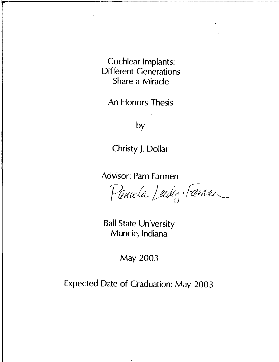Cochlear Implants: Different Generations Share a Miracle

An Honors Thesis

by

Christy J. Dollar

Advisor: Pam Farmen

Pamela Lechig Fame

Ball State University Muncie, Indiana

May 2003

Expected Date of Graduation: May 2003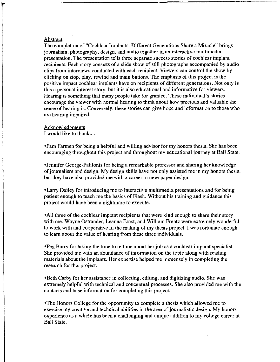#### **Abstract**

The completion of "Cochlear Implants: Different Generations Share a Miracle" brings journalism, photography, design, and audio together in an interactive multimedia presentation. The presentation tells three separate success stories of cochlear implant recipients. Each story consists of a slide show of still photographs accompanied by audio clips from interviews conducted with each recipient. Viewers can control the show by clicking on stop, play, rewind and main buttons. The emphasis of this project is the positive impact cochlear implants have on recipients of different generations. Not only is this a personal interest story, but it is also educational and informative for viewers. Hearing is something that many people take for granted. These individual's stories encourage the viewer with normal hearing to think about how precious and valuable the sense of hearing is. Conversely, these stories can give hope and information to those who are hearing impaired.

#### **Acknowledgments**

I would like to thank....

<Pam Farmen for being a helpful and willing advisor for my honors thesis. She has been encouraging throughout this project and throughout my educational journey at Ball State.

<Jennifer George-Palilonis for being a remarkable professor and sharing her knowledge of journalism and design. My design skills have not only assisted me in my honors thesis, but they have also provided me with a career in newspaper design.

<Larry Dailey for introducing me to interactive multimedia presentations and for being patient enough to teach me the basics of Flash. Without his training and guidance this project would have been a nightmare to execute.

< All three of the cochlear implant recipients that were kind enough to share their story with me. Wayne Ostrander, Leanna Ernst, and William Frentz were extremely wonderful to work with and cooperative in the making of my thesis project. I was fortunate enough to learn about the value of hearing from these three individuals.

<Peg Barry for taking the time to tell me about her job as a cochlear implant specialist. She provided me with an abundance of information on the topic along with reading materials about the implants. Her expertise helped me immensely in completing the research for this project.

\*Beth Carby for her assistance in collecting, editing, and digitizing audio. She was extremely helpful with technical and conceptual processes. She also provided me with the contacts and base information for completing this project.

<The Honors College for the opportunity to complete a thesis which allowed me to exercise my creative and technical abilities in the area of journalistic design. My honors experience as a whole has been a challenging and unique addition to my college career at Ball State.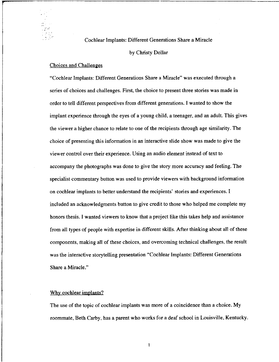### Cochlear Implants: Different Generations Share a Miracle

#### by Christy Dollar

#### Choices and Challenges

"Cochlear Implants: Different Generations Share a Miracle" was executed through a series of choices and challenges. First, the choice to present three stories was made in order to tell different perspectives from different generations. I wanted to show the implant experience through the eyes of a young child, a teenager, and an adult. This gives the viewer a higher chance to relate to one of the recipients through age similarity. The choice of presenting this information in an interactive slide show was made to give the viewer control over their experience. Using an audio element instead of text to accompany the photographs was done to give the story more accuracy and feeling. The specialist commentary button was used to provide viewers with background information on cochlear implants to better understand the recipients' stories and experiences. I included an acknowledgments button to give credit to those who helped me complete my honors thesis. I wanted viewers to know that a project like this takes help and assistance from all types of people with expertise in different skills. After thinking about all of these components, making all of these choices, and overcoming technical challenges, the result was the interactive storytelling presentation "Cochlear Implants: Different Generations Share a Miracle."

#### Why cochlear implants?

The use of the topic of cochlear implants was more of a coincidence than a choice. My roommate, Beth Carby, has a parent who works for a deaf school in Louisville, Kentucky.

 $\mathbf{1}$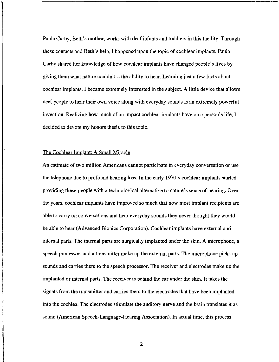Paula Carby, Beth's mother, works with deaf infants and toddlers in this facility. Through these contacts and Beth's help, I happened upon the topic of cochlear implants. Paula Carby shared her knowledge of how cochlear implants have changed people's lives by giving them what nature couldn't—the ability to hear. Learning just a few facts about cochlear implants, I became extremely interested in the subject. A little device that allows deaf people to hear their own voice along with everyday sounds is an extremely powerful invention. Realizing how much of an impact cochlear implants have on a person's life, I decided to devote my honors thesis to this topic.

#### The Cochlear Implant: A Small Miracle

An estimate of two million Americans cannot participate in everyday conversation or use the telephone due to profound hearing loss. In the early 1970's cochlear implants started providing these people with a technological alternative to nature's sense of hearing. Over the years, cochlear implants have improved so much that now most implant recipients are able to carry on conversations and hear everyday sounds they never thought they would be able to hear (Advanced Bionics Corporation). Cochlear implants have external and internal parts. The internal parts are surgically implanted under the skin. A microphone, a speech processor, and a transmitter make up the external parts. The microphone picks up sounds and carries them to the speech processor. The receiver and electrodes make up the implanted or internal parts. The receiver is behind the ear under the skin. It takes the signals from the transmitter and carries them to the electrodes that have been implanted into the cochlea. The electrodes stimulate the auditory nerve and the brain translates it as sound (American Speech-Language-Hearing Association). In actual time, this process

2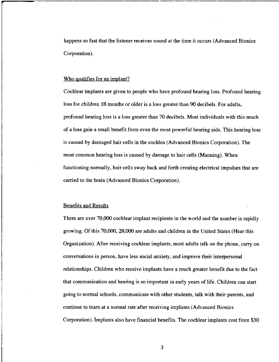happens so fast that the listener receives sound at the time it occurs (Advanced Bionics Corporation).

#### Who qualifies for an implant?

Cochlear implants are given to people who have profound hearing loss. Profound hearing loss for children 18 months or older is a loss greater than 90 decibels. For adults, profound hearing loss is a loss greater than 70 decibels. Most individuals with this much of a loss gain a small benefit from even the most powerful hearing aids. This hearing loss is caused by damaged hair cells in the cochlea (Advanced Bionics Corporation). The most common hearing loss is caused by damage to hair cells (Manning). When functioning normally, hair cells sway back and forth creating electrical impulses that are carried to the brain (Advanced Bionics Corporation).

#### Benefits and Results

There are over 70,000 cochlear implant recipients in the world and the number is rapidly growing. Of this 70,000, 28,000 are adults and children in the United States (Hear this Organization). After receiving cochlear implants, most adults talk on the phone, carry on conversations in person, have less social anxiety, and improve their interpersonal relationships. Children who receive implants have a much greater benefit due to the fact that communication and hearing is so important in early years of life. Children can start going to normal schools, communicate with other students, talk with their parents, and continue to learn at a normal rate after receiving implants (Advanced Bionics Corporation). Implants also have financial benefits. The cochlear implants cost from \$30

3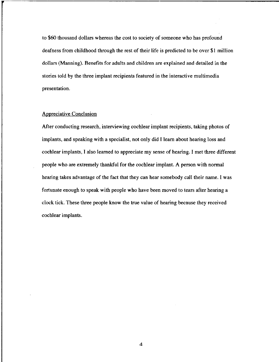to \$60 thousand dollars whereas the cost to society of someone who has profound deafness from childhood through the rest of their life is predicted to be over \$1 million dollars (Manning). Benefits for adults and children are explained and detailed in the stories told by the three implant recipients featured in the interactive multimedia presentation.

## Appreciative Conclusion

After conducting research, interviewing cochlear implant recipients, taking photos of implants, and speaking with a specialist, not only did I learn about hearing loss and cochlear implants, I also learned to appreciate my sense of hearing. I met three different people who are extremely thankful for the cochlear implant. A person with normal hearing takes advantage of the fact that they can hear somebody call their name. I was fortunate enough to speak with people who have been moved to tears after hearing a clock tick. These three people know the true value of hearing because they received cochlear implants.